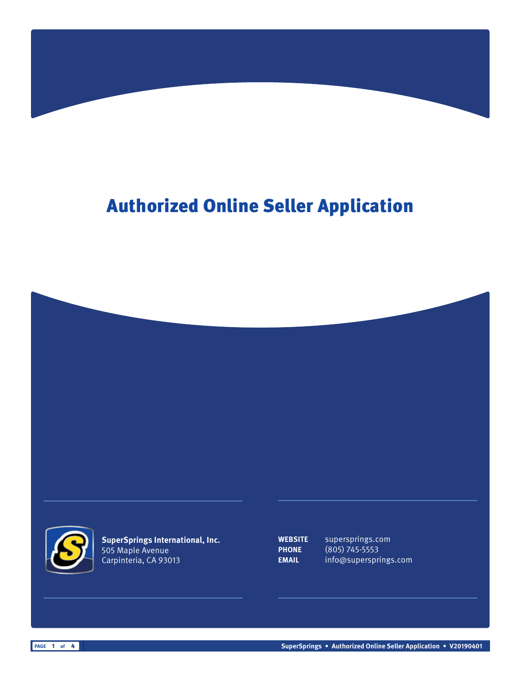## Authorized Online Seller Application





**SuperSprings International, Inc.** 505 Maple Avenue Carpinteria, CA 93013

**WEBSITE** supersprings.com **PHONE** (805) 745-5553 **EMAIL** info@supersprings.com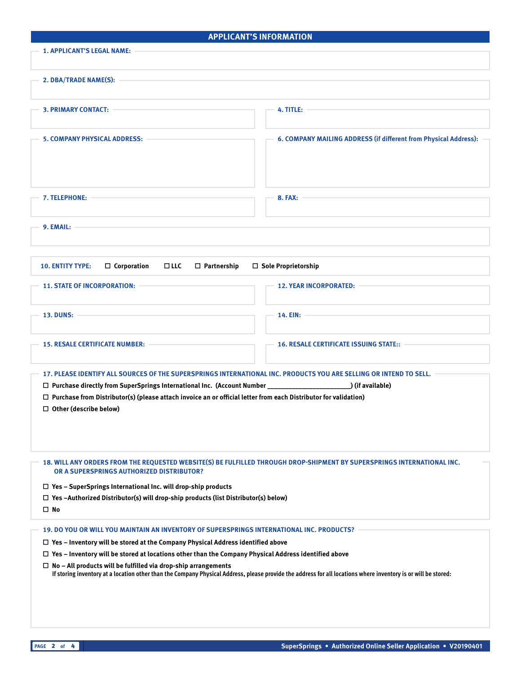| <b>APPLICANT'S INFORMATION</b>                                                                                                                                                                                                                                                                                                                                                                                                                   |                                                                  |  |
|--------------------------------------------------------------------------------------------------------------------------------------------------------------------------------------------------------------------------------------------------------------------------------------------------------------------------------------------------------------------------------------------------------------------------------------------------|------------------------------------------------------------------|--|
| <b>1. APPLICANT'S LEGAL NAME:</b>                                                                                                                                                                                                                                                                                                                                                                                                                |                                                                  |  |
| 2. DBA/TRADE NAME(S):                                                                                                                                                                                                                                                                                                                                                                                                                            |                                                                  |  |
| 3. PRIMARY CONTACT: -                                                                                                                                                                                                                                                                                                                                                                                                                            | 4. TITLE: $-$                                                    |  |
| <b>5. COMPANY PHYSICAL ADDRESS:</b>                                                                                                                                                                                                                                                                                                                                                                                                              | 6. COMPANY MAILING ADDRESS (if different from Physical Address): |  |
| <b>7. TELEPHONE:</b>                                                                                                                                                                                                                                                                                                                                                                                                                             | <b>8. FAX:</b>                                                   |  |
| 9. EMAIL:                                                                                                                                                                                                                                                                                                                                                                                                                                        |                                                                  |  |
| □ Sole Proprietorship<br><b>10. ENTITY TYPE:</b><br>$\Box$ Corporation<br>$\square$ LLC<br>$\Box$ Partnership                                                                                                                                                                                                                                                                                                                                    |                                                                  |  |
| <b>11. STATE OF INCORPORATION:</b>                                                                                                                                                                                                                                                                                                                                                                                                               | <b>12. YEAR INCORPORATED:</b>                                    |  |
| 13. DUNS: -                                                                                                                                                                                                                                                                                                                                                                                                                                      | 14. $EIN: -$                                                     |  |
| <b>15. RESALE CERTIFICATE NUMBER:</b>                                                                                                                                                                                                                                                                                                                                                                                                            | <b>16. RESALE CERTIFICATE ISSUING STATE::</b>                    |  |
| 17. PLEASE IDENTIFY ALL SOURCES OF THE SUPERSPRINGS INTERNATIONAL INC. PRODUCTS YOU ARE SELLING OR INTEND TO SELL.<br>$\Box$ Purchase from Distributor(s) (please attach invoice an or official letter from each Distributor for validation)<br>$\Box$ Other (describe below)                                                                                                                                                                    |                                                                  |  |
| 18. WILL ANY ORDERS FROM THE REQUESTED WEBSITE(S) BE FULFILLED THROUGH DROP-SHIPMENT BY SUPERSPRINGS INTERNATIONAL INC.<br>OR A SUPERSPRINGS AUTHORIZED DISTRIBUTOR?<br>□ Yes - SuperSprings International Inc. will drop-ship products<br>$\Box$ Yes -Authorized Distributor(s) will drop-ship products (list Distributor(s) below)<br>$\square$ No                                                                                             |                                                                  |  |
| 19. DO YOU OR WILL YOU MAINTAIN AN INVENTORY OF SUPERSPRINGS INTERNATIONAL INC. PRODUCTS?                                                                                                                                                                                                                                                                                                                                                        |                                                                  |  |
| $\Box$ Yes - Inventory will be stored at the Company Physical Address identified above<br>$\Box$ Yes - Inventory will be stored at locations other than the Company Physical Address identified above<br>$\Box$ No - All products will be fulfilled via drop-ship arrangements<br>If storing inventory at a location other than the Company Physical Address, please provide the address for all locations where inventory is or will be stored: |                                                                  |  |
|                                                                                                                                                                                                                                                                                                                                                                                                                                                  |                                                                  |  |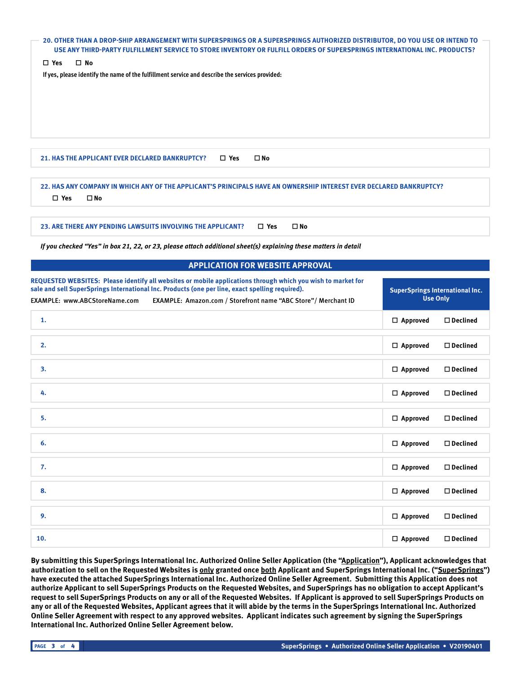| 20. OTHER THAN A DROP-SHIP ARRANGEMENT WITH SUPERSPRINGS OR A SUPERSPRINGS AUTHORIZED DISTRIBUTOR, DO YOU USE OR INTEND TO<br>USE ANY THIRD-PARTY FULFILLMENT SERVICE TO STORE INVENTORY OR FULFILL ORDERS OF SUPERSPRINGS INTERNATIONAL INC. PRODUCTS?                                                             |                    |                                                           |  |  |
|---------------------------------------------------------------------------------------------------------------------------------------------------------------------------------------------------------------------------------------------------------------------------------------------------------------------|--------------------|-----------------------------------------------------------|--|--|
| $\square$ Yes<br>$\square$ No                                                                                                                                                                                                                                                                                       |                    |                                                           |  |  |
| If yes, please identify the name of the fulfillment service and describe the services provided:                                                                                                                                                                                                                     |                    |                                                           |  |  |
|                                                                                                                                                                                                                                                                                                                     |                    |                                                           |  |  |
| $\square$ No<br>21. HAS THE APPLICANT EVER DECLARED BANKRUPTCY?<br>$\square$ Yes                                                                                                                                                                                                                                    |                    |                                                           |  |  |
| 22. HAS ANY COMPANY IN WHICH ANY OF THE APPLICANT'S PRINCIPALS HAVE AN OWNERSHIP INTEREST EVER DECLARED BANKRUPTCY?<br>$\square$ Yes<br>$\square$ No                                                                                                                                                                |                    |                                                           |  |  |
| 23. ARE THERE ANY PENDING LAWSUITS INVOLVING THE APPLICANT?<br>$\square$ Yes<br>$\square$ No                                                                                                                                                                                                                        |                    |                                                           |  |  |
| If you checked "Yes" in box 21, 22, or 23, please attach additional sheet(s) explaining these matters in detail                                                                                                                                                                                                     |                    |                                                           |  |  |
| <b>APPLICATION FOR WEBSITE APPROVAL</b>                                                                                                                                                                                                                                                                             |                    |                                                           |  |  |
| REQUESTED WEBSITES: Please identify all websites or mobile applications through which you wish to market for<br>sale and sell SuperSprings International Inc. Products (one per line, exact spelling required).<br>EXAMPLE: www.ABCStoreName.com<br>EXAMPLE: Amazon.com / Storefront name "ABC Store" / Merchant ID |                    | <b>SuperSprings International Inc.</b><br><b>Use Only</b> |  |  |
| 1.                                                                                                                                                                                                                                                                                                                  | $\Box$ Approved    | $\Box$ Declined                                           |  |  |
| 2.                                                                                                                                                                                                                                                                                                                  | $\Box$ Approved    | $\Box$ Declined                                           |  |  |
| 3.                                                                                                                                                                                                                                                                                                                  | $\Box$ Approved    | $\square$ Declined                                        |  |  |
| 4.                                                                                                                                                                                                                                                                                                                  | $\square$ Approved | $\square$ Declined                                        |  |  |
| 5.                                                                                                                                                                                                                                                                                                                  | $\square$ Approved | $\square$ Declined                                        |  |  |
|                                                                                                                                                                                                                                                                                                                     |                    |                                                           |  |  |
| 6.                                                                                                                                                                                                                                                                                                                  | $\Box$ Approved    | $\square$ Declined                                        |  |  |
| 7.                                                                                                                                                                                                                                                                                                                  | $\Box$ Approved    | $\square$ Declined                                        |  |  |
| 8.                                                                                                                                                                                                                                                                                                                  | $\Box$ Approved    | $\square$ Declined                                        |  |  |
| 9.                                                                                                                                                                                                                                                                                                                  | $\Box$ Approved    | $\square$ Declined                                        |  |  |

**By submitting this SuperSprings International Inc. Authorized Online Seller Application (the "Application"), Applicant acknowledges that**  authorization to sell on the Requested Websites is **only** granted once both Applicant and SuperSprings International Inc. ("SuperSprings") **have executed the attached SuperSprings International Inc. Authorized Online Seller Agreement. Submitting this Application does not authorize Applicant to sell SuperSprings Products on the Requested Websites, and SuperSprings has no obligation to accept Applicant's request to sell SuperSprings Products on any or all of the Requested Websites. If Applicant is approved to sell SuperSprings Products on any or all of the Requested Websites, Applicant agrees that it will abide by the terms in the SuperSprings International Inc. Authorized Online Seller Agreement with respect to any approved websites. Applicant indicates such agreement by signing the SuperSprings International Inc. Authorized Online Seller Agreement below.**